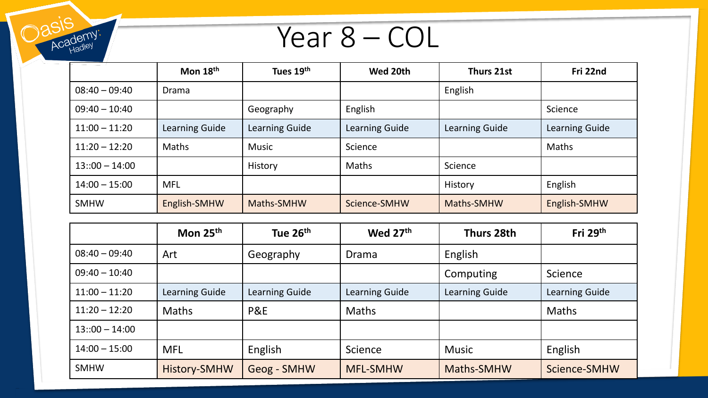Year 8 – COL

**Oasis** 

Academy:

|                  | Mon $18th$     | Tues 19th      | Wed 20th       | Thurs 21st     | Fri 22nd       |
|------------------|----------------|----------------|----------------|----------------|----------------|
| $08:40 - 09:40$  | Drama          |                |                | English        |                |
| $09:40 - 10:40$  |                | Geography      | English        |                | Science        |
| $11:00 - 11:20$  | Learning Guide | Learning Guide | Learning Guide | Learning Guide | Learning Guide |
| $11:20 - 12:20$  | <b>Maths</b>   | <b>Music</b>   | Science        |                | Maths          |
| $13::00 - 14:00$ |                | History        | <b>Maths</b>   | Science        |                |
| $14:00 - 15:00$  | <b>MFL</b>     |                |                | History        | English        |
| <b>SMHW</b>      | English-SMHW   | Maths-SMHW     | Science-SMHW   | Maths-SMHW     | English-SMHW   |

|                  | Mon $25th$     | Tue 26 <sup>th</sup> | Wed 27th                         | Thurs 28th   | Fri $29th$     |
|------------------|----------------|----------------------|----------------------------------|--------------|----------------|
| $08:40 - 09:40$  | Art            | Geography            | Drama                            | English      |                |
| $09:40 - 10:40$  |                | Computing            |                                  | Science      |                |
| $11:00 - 11:20$  | Learning Guide | Learning Guide       | Learning Guide<br>Learning Guide |              | Learning Guide |
| $11:20 - 12:20$  | <b>Maths</b>   | <b>P&amp;E</b>       | <b>Maths</b>                     |              | <b>Maths</b>   |
| $13::00 - 14:00$ |                |                      |                                  |              |                |
| $14:00 - 15:00$  | <b>MFL</b>     | English              | Science                          | <b>Music</b> | English        |
| <b>SMHW</b>      | History-SMHW   | Geog - SMHW          | <b>MFL-SMHW</b>                  | Maths-SMHW   | Science-SMHW   |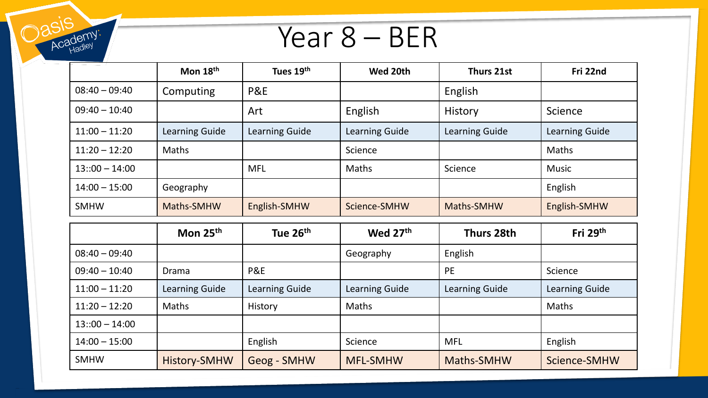## Year 8 – BER

Dasis

Academy.

|                  | Mon 18 <sup>th</sup> | Tues 19th      | Wed 20th       | Thurs 21st     | Fri 22nd       |
|------------------|----------------------|----------------|----------------|----------------|----------------|
| $08:40 - 09:40$  | Computing            | <b>P&amp;E</b> |                | English        |                |
| $09:40 - 10:40$  |                      | Art            | English        | <b>History</b> | Science        |
| $11:00 - 11:20$  | Learning Guide       | Learning Guide | Learning Guide | Learning Guide | Learning Guide |
| $11:20 - 12:20$  | <b>Maths</b>         |                | Science        |                | <b>Maths</b>   |
| $13::00 - 14:00$ |                      | <b>MFL</b>     | <b>Maths</b>   | Science        | <b>Music</b>   |
| $14:00 - 15:00$  | Geography            |                |                |                | English        |
| <b>SMHW</b>      | Maths-SMHW           | English-SMHW   | Science-SMHW   | Maths-SMHW     | English-SMHW   |

|                  | Mon 25 <sup>th</sup> | Tue 26 <sup>th</sup> | Wed 27th        | Thurs 28th     | Fri $29th$     |
|------------------|----------------------|----------------------|-----------------|----------------|----------------|
| $08:40 - 09:40$  |                      |                      | Geography       | English        |                |
| $09:40 - 10:40$  | <b>Drama</b>         | <b>P&amp;E</b>       | <b>PE</b>       |                | Science        |
| $11:00 - 11:20$  | Learning Guide       | Learning Guide       | Learning Guide  | Learning Guide | Learning Guide |
| $11:20 - 12:20$  | <b>Maths</b>         | History              | Maths           |                | <b>Maths</b>   |
| $13::00 - 14:00$ |                      |                      |                 |                |                |
| $14:00 - 15:00$  |                      | English              | Science         | <b>MFL</b>     | English        |
| <b>SMHW</b>      | History-SMHW         | <b>Geog - SMHW</b>   | <b>MFL-SMHW</b> | Maths-SMHW     | Science-SMHW   |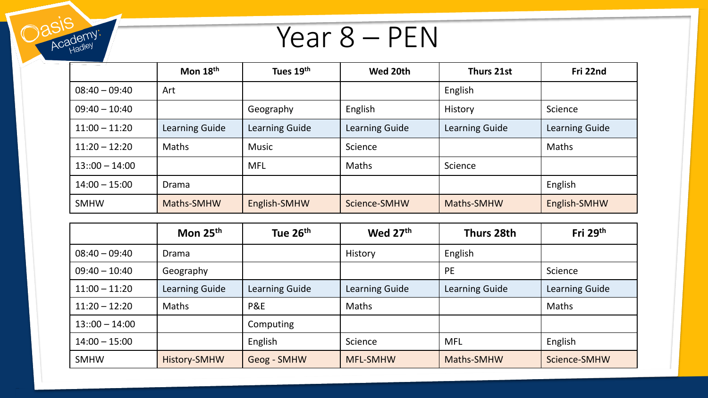

Dasis

Academy:

|                  | Mon 18 <sup>th</sup> | Tues 19th      | Wed 20th       | Thurs 21st     | Fri 22nd       |
|------------------|----------------------|----------------|----------------|----------------|----------------|
| $08:40 - 09:40$  | Art                  |                |                | English        |                |
| $09:40 - 10:40$  |                      | Geography      | English        | History        | Science        |
| $11:00 - 11:20$  | Learning Guide       | Learning Guide | Learning Guide | Learning Guide | Learning Guide |
| $11:20 - 12:20$  | <b>Maths</b>         | <b>Music</b>   | Science        |                | Maths          |
| $13::00 - 14:00$ |                      | <b>MFL</b>     | <b>Maths</b>   | Science        |                |
| $14:00 - 15:00$  | Drama                |                |                |                | English        |
| <b>SMHW</b>      | Maths-SMHW           | English-SMHW   | Science-SMHW   | Maths-SMHW     | English-SMHW   |

|                  | Mon 25 <sup>th</sup>  | Tue 26 <sup>th</sup> | Wed 27th        | Thurs 28th     | Fri $29th$     |
|------------------|-----------------------|----------------------|-----------------|----------------|----------------|
| $08:40 - 09:40$  | Drama                 |                      | <b>History</b>  | English        |                |
| $09:40 - 10:40$  | Geography             |                      | <b>PE</b>       |                | Science        |
| $11:00 - 11:20$  | <b>Learning Guide</b> | Learning Guide       | Learning Guide  | Learning Guide | Learning Guide |
| $11:20 - 12:20$  | <b>Maths</b>          | <b>P&amp;E</b>       | Maths           |                | <b>Maths</b>   |
| $13::00 - 14:00$ |                       | Computing            |                 |                |                |
| $14:00 - 15:00$  |                       | English              | Science         | <b>MFL</b>     | English        |
| <b>SMHW</b>      | <b>History-SMHW</b>   | Geog - SMHW          | <b>MFL-SMHW</b> | Maths-SMHW     | Science-SMHW   |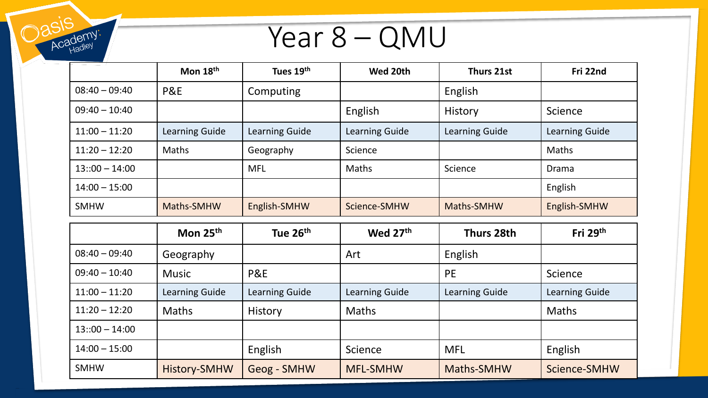

Dasis

Academy:

|                  | Mon $18th$     | Tues 19th      | Wed 20th       | Thurs 21st     | Fri 22nd       |
|------------------|----------------|----------------|----------------|----------------|----------------|
| $08:40 - 09:40$  | <b>P&amp;E</b> | Computing      |                | English        |                |
| $09:40 - 10:40$  |                |                | English        | <b>History</b> | Science        |
| $11:00 - 11:20$  | Learning Guide | Learning Guide | Learning Guide | Learning Guide | Learning Guide |
| $11:20 - 12:20$  | <b>Maths</b>   | Geography      | Science        |                | <b>Maths</b>   |
| $13::00 - 14:00$ |                | <b>MFL</b>     | <b>Maths</b>   | Science        | <b>Drama</b>   |
| $14:00 - 15:00$  |                |                |                |                | English        |
| <b>SMHW</b>      | Maths-SMHW     | English-SMHW   | Science-SMHW   | Maths-SMHW     | English-SMHW   |

|                  | Mon 25 <sup>th</sup> | Tue 26 <sup>th</sup> | Wed 27th        | Thurs 28th     | Fri $29th$     |
|------------------|----------------------|----------------------|-----------------|----------------|----------------|
| $08:40 - 09:40$  | Geography            |                      | Art             | English        |                |
| $09:40 - 10:40$  | <b>Music</b>         | P&E                  |                 | <b>PE</b>      | Science        |
| $11:00 - 11:20$  | Learning Guide       | Learning Guide       | Learning Guide  | Learning Guide | Learning Guide |
| $11:20 - 12:20$  | <b>Maths</b>         | History              | <b>Maths</b>    |                | <b>Maths</b>   |
| $13::00 - 14:00$ |                      |                      |                 |                |                |
| $14:00 - 15:00$  |                      | English              | Science         | <b>MFL</b>     | English        |
| <b>SMHW</b>      | <b>History-SMHW</b>  | Geog - SMHW          | <b>MFL-SMHW</b> | Maths-SMHW     | Science-SMHW   |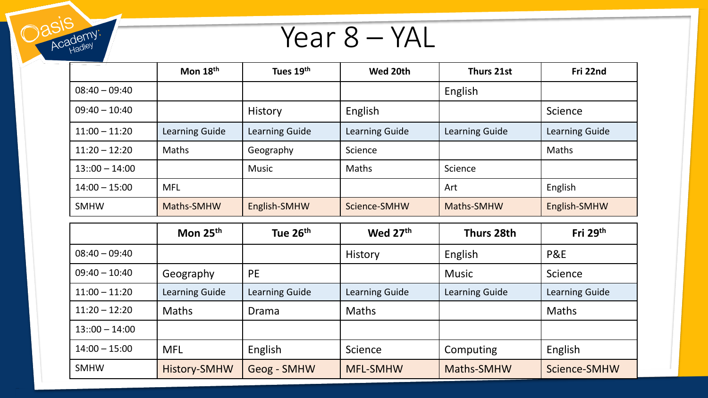Year 8 – YAL

| asis<br>Year 8 – YAL |                |                |                |                |                |  |  |
|----------------------|----------------|----------------|----------------|----------------|----------------|--|--|
|                      | Mon 18th       | Tues 19th      | Wed 20th       | Thurs 21st     | Fri 22nd       |  |  |
| $08:40 - 09:40$      |                |                |                | English        |                |  |  |
| $09:40 - 10:40$      |                | History        | English        |                | Science        |  |  |
| $11:00 - 11:20$      | Learning Guide | Learning Guide | Learning Guide | Learning Guide | Learning Guide |  |  |
| $11:20 - 12:20$      | Maths          | Geography      | Science        |                | Maths          |  |  |
| $13::00 - 14:00$     |                | Music          | Maths          | Science        |                |  |  |
| $14:00 - 15:00$      | <b>MFL</b>     |                |                | Art            | English        |  |  |
| <b>SMHW</b>          | Maths-SMHW     | English-SMHW   | Science-SMHW   | Maths-SMHW     | English-SMHW   |  |  |

|                  | Mon $25th$     | Tue 26 <sup>th</sup> | Wed 27 <sup>th</sup> | Thurs 28th     | Fri $29th$     |
|------------------|----------------|----------------------|----------------------|----------------|----------------|
| $08:40 - 09:40$  |                |                      | <b>History</b>       | English        | <b>P&amp;E</b> |
| $09:40 - 10:40$  | Geography      | <b>PE</b>            |                      | <b>Music</b>   | Science        |
| $11:00 - 11:20$  | Learning Guide | Learning Guide       | Learning Guide       | Learning Guide | Learning Guide |
| $11:20 - 12:20$  | <b>Maths</b>   | Drama                | <b>Maths</b>         |                | <b>Maths</b>   |
| $13::00 - 14:00$ |                |                      |                      |                |                |
| $14:00 - 15:00$  | <b>MFL</b>     | English              | Science              | Computing      | English        |
| <b>SMHW</b>      | History-SMHW   | <b>Geog - SMHW</b>   | <b>MFL-SMHW</b>      | Maths-SMHW     | Science-SMHW   |